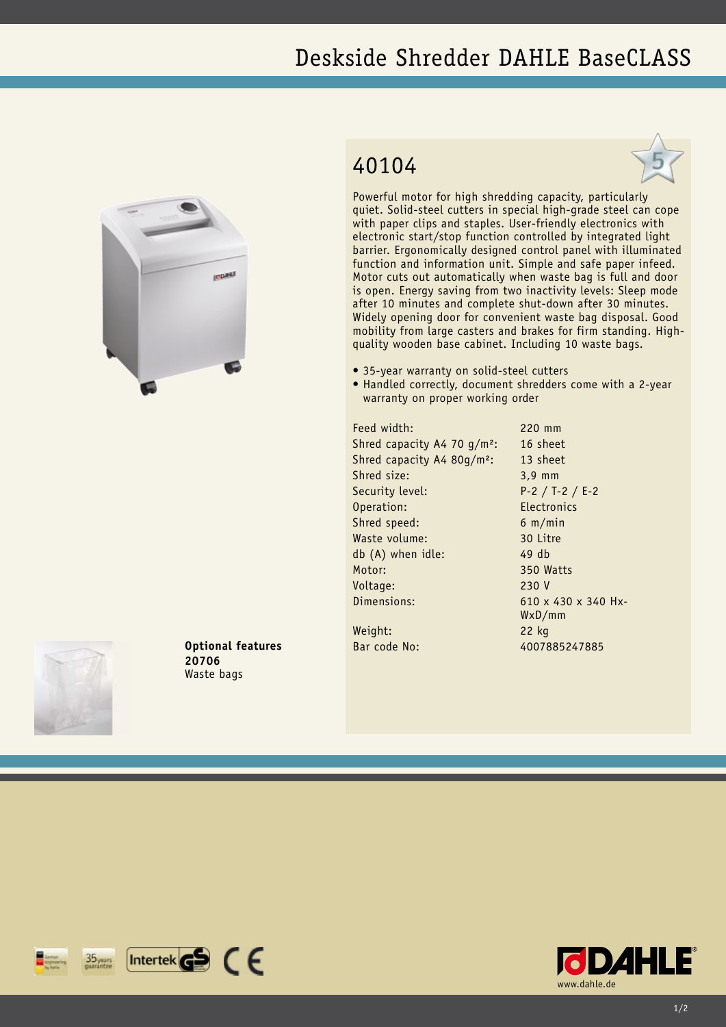## Deskside Shredder DAHLE BaseCLASS



## 40104



Powerful motor for high shredding capacity, particularly quiet. Solid-steel cutters in special high-grade steel can cope with paper clips and staples. User-friendly electronics with electronic start/stop function controlled by integrated light barrier. Ergonomically designed control panel with illuminated function and information unit. Simple and safe paper infeed. Motor cuts out automatically when waste bag is full and door is open. Energy saving from two inactivity levels: Sleep mode after 10 minutes and complete shut-down after 30 minutes. Widely opening door for convenient waste bag disposal. Good mobility from large casters and brakes for firm standing. Highquality wooden base cabinet. Including 10 waste bags.

- 35-year warranty on solid-steel cutters
- Handled correctly, document shredders come with a 2-year warranty on proper working order

Feed width: 220 mm Shred capacity A4 70 g/m<sup>2</sup>: 16 sheet Shred capacity A4 80g/m<sup>2</sup>: 13 sheet Shred size: 3,9 mm Security level: P-2 / T-2 / E-2 Operation: Electronics Shred speed: 6 m/min Waste volume: 30 Litre db (A) when idle: 49 db Motor: 350 Watts Voltage: 230 V Dimensions: 610 x 430 x 340 Hx-Weight: 22 kg

WxD/mm

Bar code No: 4007885247885





**Optional features 20706** Waste bags

 $[$ Intertek $\mathbf{G}$  $\mathbf{S}$   $\in$   $\in$